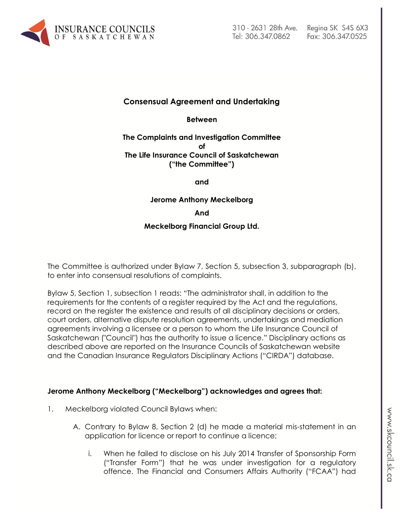

## **Consensual Agreement and Undertaking**

**Between**

### **The Complaints and Investigation Committee of The Life Insurance Council of Saskatchewan ("the Committee")**

**and**

**Jerome Anthony Meckelborg**

**And**

#### **Meckelborg Financial Group Ltd.**

The Committee is authorized under Bylaw 7, Section 5, subsection 3, subparagraph (b), to enter into consensual resolutions of complaints.

Bylaw 5, Section 1, subsection 1 reads: "The administrator shall, in addition to the requirements for the contents of a register required by the Act and the regulations, record on the register the existence and results of all disciplinary decisions or orders, court orders, alternative dispute resolution agreements, undertakings and mediation agreements involving a licensee or a person to whom the Life Insurance Council of Saskatchewan ("Council") has the authority to issue a licence." Disciplinary actions as described above are reported on the Insurance Councils of Saskatchewan website and the Canadian Insurance Regulators Disciplinary Actions ("CIRDA") database.

### **Jerome Anthony Meckelborg ("Meckelborg") acknowledges and agrees that:**

- 1. Meckelborg violated Council Bylaws when:
	- A. Contrary to Bylaw 8, Section 2 (d) he made a material mis-statement in an application for licence or report to continue a licence;
		- i. When he failed to disclose on his July 2014 Transfer of Sponsorship Form ("Transfer Form") that he was under investigation for a regulatory offence. The Financial and Consumers Affairs Authority ("FCAA") had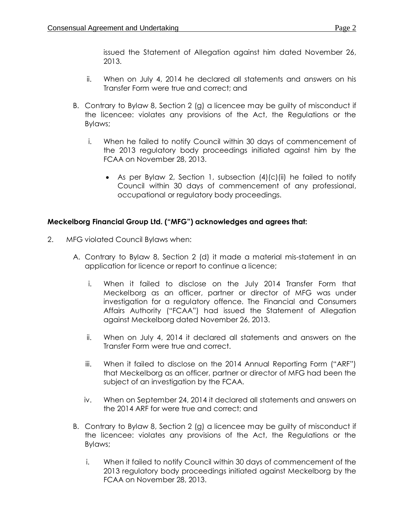issued the Statement of Allegation against him dated November 26, 2013.

- ii. When on July 4, 2014 he declared all statements and answers on his Transfer Form were true and correct; and
- B. Contrary to Bylaw 8, Section 2 (g) a licencee may be guilty of misconduct if the licencee: violates any provisions of the Act, the Regulations or the Bylaws;
	- i. When he failed to notify Council within 30 days of commencement of the 2013 regulatory body proceedings initiated against him by the FCAA on November 28, 2013.
		- As per Bylaw 2, Section 1, subsection  $(4)(c)(ii)$  he failed to notify Council within 30 days of commencement of any professional, occupational or regulatory body proceedings.

## **Meckelborg Financial Group Ltd. ("MFG") acknowledges and agrees that:**

- 2. MFG violated Council Bylaws when:
	- A. Contrary to Bylaw 8, Section 2 (d) it made a material mis-statement in an application for licence or report to continue a licence;
		- i. When it failed to disclose on the July 2014 Transfer Form that Meckelborg as an officer, partner or director of MFG was under investigation for a regulatory offence. The Financial and Consumers Affairs Authority ("FCAA") had issued the Statement of Allegation against Meckelborg dated November 26, 2013.
		- ii. When on July 4, 2014 it declared all statements and answers on the Transfer Form were true and correct.
		- iii. When it failed to disclose on the 2014 Annual Reporting Form ("ARF") that Meckelborg as an officer, partner or director of MFG had been the subject of an investigation by the FCAA.
		- iv. When on September 24, 2014 it declared all statements and answers on the 2014 ARF for were true and correct; and
	- B. Contrary to Bylaw 8, Section 2 (g) a licencee may be guilty of misconduct if the licencee: violates any provisions of the Act, the Regulations or the Bylaws;
		- i. When it failed to notify Council within 30 days of commencement of the 2013 regulatory body proceedings initiated against Meckelborg by the FCAA on November 28, 2013.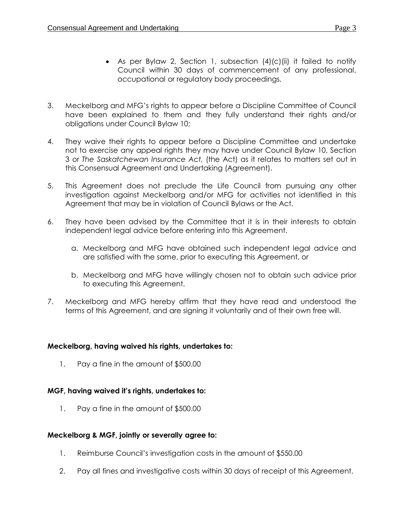- As per Bylaw 2, Section 1, subsection  $(4)(c)(ii)$  it failed to notify Council within 30 days of commencement of any professional, occupational or regulatory body proceedings.
- 3. Meckelborg and MFG's rights to appear before a Discipline Committee of Council have been explained to them and they fully understand their rights and/or obligations under Council Bylaw 10;
- 4. They waive their rights to appear before a Discipline Committee and undertake not to exercise any appeal rights they may have under Council Bylaw 10, Section 3 or *The Saskatchewan Insurance Act,* (the Act) as it relates to matters set out in this Consensual Agreement and Undertaking (Agreement).
- 5. This Agreement does not preclude the Life Council from pursuing any other investigation against Meckelborg and/or MFG for activities not identified in this Agreement that may be in violation of Council Bylaws or the Act.
- 6. They have been advised by the Committee that it is in their interests to obtain independent legal advice before entering into this Agreement.
	- a. Meckelborg and MFG have obtained such independent legal advice and are satisfied with the same, prior to executing this Agreement, or
	- b. Meckelborg and MFG have willingly chosen not to obtain such advice prior to executing this Agreement.
- 7. Meckelborg and MFG hereby affirm that they have read and understood the terms of this Agreement, and are signing it voluntarily and of their own free will.

## **Meckelborg, having waived his rights, undertakes to:**

1. Pay a fine in the amount of \$500.00

# **MGF, having waived it's rights, undertakes to:**

1. Pay a fine in the amount of \$500.00

# **Meckelborg & MGF, jointly or severally agree to:**

- 1. Reimburse Council's investigation costs in the amount of \$550.00
- 2. Pay all fines and investigative costs within 30 days of receipt of this Agreement.